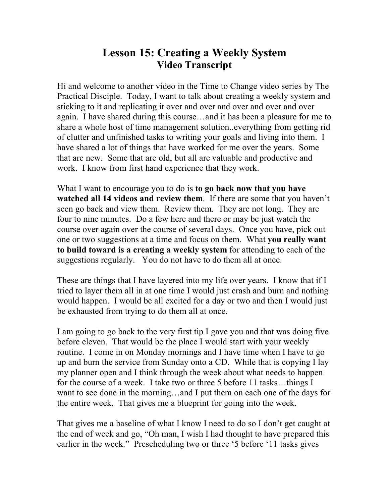## **Lesson 15: Creating a Weekly System Video Transcript**

Hi and welcome to another video in the Time to Change video series by The Practical Disciple. Today, I want to talk about creating a weekly system and sticking to it and replicating it over and over and over and over and over again. I have shared during this course…and it has been a pleasure for me to share a whole host of time management solution..everything from getting rid of clutter and unfinished tasks to writing your goals and living into them. I have shared a lot of things that have worked for me over the years. Some that are new. Some that are old, but all are valuable and productive and work. I know from first hand experience that they work.

What I want to encourage you to do is **to go back now that you have watched all 14 videos and review them**. If there are some that you haven't seen go back and view them. Review them. They are not long. They are four to nine minutes. Do a few here and there or may be just watch the course over again over the course of several days. Once you have, pick out one or two suggestions at a time and focus on them. What **you really want to build toward is a creating a weekly system** for attending to each of the suggestions regularly. You do not have to do them all at once.

These are things that I have layered into my life over years. I know that if I tried to layer them all in at one time I would just crash and burn and nothing would happen. I would be all excited for a day or two and then I would just be exhausted from trying to do them all at once.

I am going to go back to the very first tip I gave you and that was doing five before eleven. That would be the place I would start with your weekly routine. I come in on Monday mornings and I have time when I have to go up and burn the service from Sunday onto a CD. While that is copying I lay my planner open and I think through the week about what needs to happen for the course of a week. I take two or three 5 before 11 tasks…things I want to see done in the morning…and I put them on each one of the days for the entire week. That gives me a blueprint for going into the week.

That gives me a baseline of what I know I need to do so I don't get caught at the end of week and go, "Oh man, I wish I had thought to have prepared this earlier in the week." Prescheduling two or three '5 before '11 tasks gives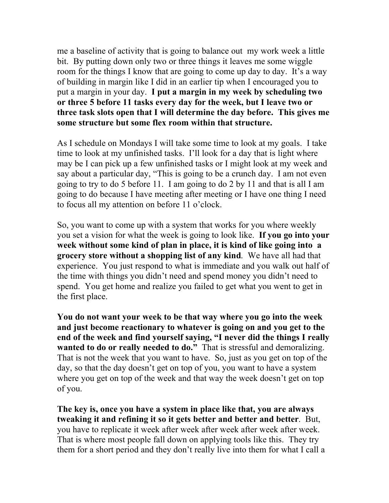me a baseline of activity that is going to balance out my work week a little bit. By putting down only two or three things it leaves me some wiggle room for the things I know that are going to come up day to day. It's a way of building in margin like I did in an earlier tip when I encouraged you to put a margin in your day. **I put a margin in my week by scheduling two or three 5 before 11 tasks every day for the week, but I leave two or three task slots open that I will determine the day before. This gives me some structure but some flex room within that structure.**

As I schedule on Mondays I will take some time to look at my goals. I take time to look at my unfinished tasks. I'll look for a day that is light where may be I can pick up a few unfinished tasks or I might look at my week and say about a particular day, "This is going to be a crunch day. I am not even going to try to do 5 before 11. I am going to do 2 by 11 and that is all I am going to do because I have meeting after meeting or I have one thing I need to focus all my attention on before 11 o'clock.

So, you want to come up with a system that works for you where weekly you set a vision for what the week is going to look like. **If you go into your week without some kind of plan in place, it is kind of like going into a grocery store without a shopping list of any kind**. We have all had that experience. You just respond to what is immediate and you walk out half of the time with things you didn't need and spend money you didn't need to spend. You get home and realize you failed to get what you went to get in the first place.

**You do not want your week to be that way where you go into the week and just become reactionary to whatever is going on and you get to the end of the week and find yourself saying, "I never did the things I really wanted to do or really needed to do."** That is stressful and demoralizing. That is not the week that you want to have. So, just as you get on top of the day, so that the day doesn't get on top of you, you want to have a system where you get on top of the week and that way the week doesn't get on top of you.

**The key is, once you have a system in place like that, you are always tweaking it and refining it so it gets better and better and better**. But, you have to replicate it week after week after week after week after week. That is where most people fall down on applying tools like this. They try them for a short period and they don't really live into them for what I call a